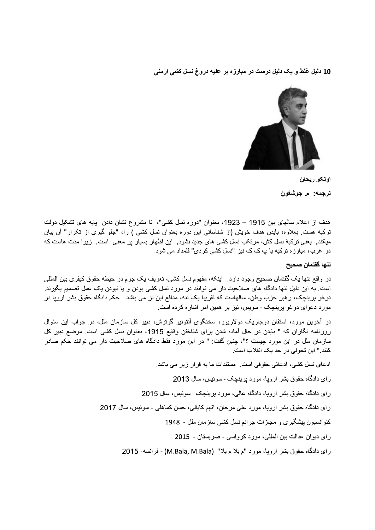10 دلیل غلط و یک دلیل درست در مبارزه بر علیه دروغ نسل کشی ارمنی



اوتكو ريحان ترجمه: ۾ جوشغون

هدف از اعلام سالهای بین 1915 – 1923، بعنوان "دوره نسل کشی"، نا مشروع نشان دادن یابه های تشکیل دولت ترکیه هست بعلاوه، بایدن هدف خویش (از شناسائی این دوره بعنوان نسل کشبی ) را، "جلو گیری از تکرار" آن بیان میکند. ایعنی ترکیهٔ نسل کش، مرتکب نسل کشی های جدید نشود. این اظهار بسیار بر معنی است. زیرا مدت هاست که در غرب، مبارزه ترکیه با پ ک ک نیز "نسل کشی کردی" قلمداد می شود.

# تنها كفتمان صحيح

در واقع تنها يک گفتمان صحيح وجود دارد. اينکه، مفهوم نسل کشي، تعريف يک جرم در حيطه حقوق کيفري بين المللي است. به این دلیل تنها دادگاه های صلاحیت دار می توانند در مورد نسل کشی بودن و یا نبودن یک عمل تصمیم بگیرند. دوغو برینچک، رهبر حزب وطن، سالهاست که تقریبا یک تنه، مدافع این تز می باشد. حکم دادگاه حقوق بشر ارویا در مورد دعوای دوغو برینچک - سویس، نیز بر همین امر اشاره کرده است.

در آخرین مورد، استفان دوجاریک دولاریور، سخنگوی آنتونیو گوترش، دبیر کل سازمان ملل، در جواب این سئوال روزنامه نگاران كه " بايدن در حال أماده شدن براى شناختن وقايع 1915، بعنوان نسل كشى است. موضع دبير كل سازمان ملل در این مورد چیست ؟"، چنین گفت: " در این مورد فقط دادگاه های صلاحیت دار می توانند حکم صادر كنند " اين تحولي در حد يك انقلاب است.

ادعای نسل کشی، ادعائی حقوقی است. مستندات ما به قرار زیر می باشد.

رای دادگاه حقوق بشر اروپا، مورد برینچک - سوئیس، سال 2013

رای دادگاه حقوق بشر اروپا، دادگاه عالی، مورد برینچک - سوئیس، سال 2015

رای دادگاه حقوق بشر اروپا، مورد علی مرجان، اتهم کاپالی، حسن کماهلی - سوئیس، سال 2017

كنوانسيون بيشكيري و مجازات جرائم نسل كشي سازمان ملل - 1948

راي ديوان عدالت بين المللي، مورد كرواسي - صربستان - 2015

راي دادگاه حقوق بشر ارويا، مورد "م بلا م بلا" (M.Bala, M.Bala) - فرانسه- 2015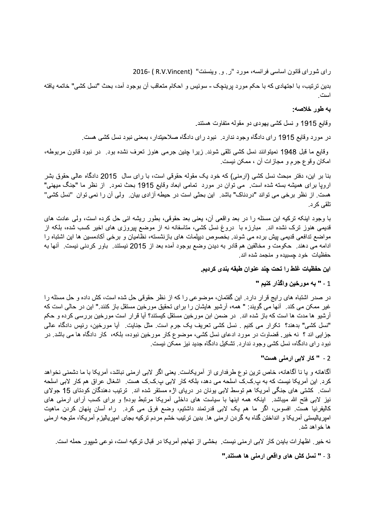راى شوراى قانون اساسى فرانسه، مورد "ر و وينسنت" (R.V.Vincent) -2016

بدين تر تيب، با اجتهادي كه با حكم مورد برينچك - سوئيس و احكام متعاقب آن بوجود آمد، بحث "نسل كشي" خاتمه يافته است

### به طور خلاصه:

وقايع 1915 و نسل كشي يهودي دو مقوله متفاوت هستند.

در مورد وقایع 1915 رای دادگاه وجود ندارد. نبود رای دادگاه صلاحیتدار ، بمعنی نبود نسل کشی هست.

وقايع ما قبل 1948 نميتوانند نسل كشي تلقي شوند<sub>.</sub> زيرا چنين جرمي هنوز تعرف نشده بود<sub>.</sub> در نبود قانون مربوطه، امکان وقوع جرم و مجازات أن ، ممکن نيست.

بنا بر این، دفتر مبحث نسل کشی (ار منی) که خود یک مقوله حقوقی است، با رای سال 2015 دادگاه عالی حقوق بشر اروپا برای همیشه بسته شده است. می نوان در مورد تمامی ابعاد وقایع 1915 بحث نمود. از نظر ما "جنگ میهنی" هست. از نظر برخی می تواند "دردناک" باشد. این بحثی است در حیطه آزادی بیان. ولی آن را نمی توان "نسل کشی" تلقے کر د.

با وجود ابنکه ترکیه این مسئله را در بعد واقعی آن، یعنی بعد حقوقی، بطور ریشه ائی حل کرده است، ولی عادت های قدیمی هنوز ترک نشده اند. ً مبارزه با ً دروغ نسل کشی، مناسفانه نه از موضع پیروزی های اخیر کسب شده، بلکه از مواضع ندافعی قدیمی پیش برده می شوند. بخصوص دیپلمات های بازنشسته، نظامیان و برخی أکادمسین ها این اشتباه را ادامه مي دهند \_ حکومت و مخالفين هم قادر به ديدن وضع بوجود أمده بعد از 2015 نيستند \_ باور کردنـي نيست \_ أنـها به حفظیات خود چسبیده و منجمد شده اند.

اين حفظيات غلط را تحت چند عنوان طبقه بندى كرديم.

#### 1 - " به مورخين واگذار كنيم "

در صدر اشتباه های رایج قرار دارد. این گفتمان، موضوعی را که از نظر حقوقی حل شده است، کش داده و حل مسئله را غیر ممکن می کند. آنها می گویند: " همه، آرشیو هایشان را برای تحقیق مورخین مستقل باز کنند." این در حالی است که آرشیو ها مدت ها است که باز شده اند. در ضمن ابن مورخین مستقل کیستند؟ آیا قرار است مورخین بررسی کرده و حکم "نسل كشي" بدهند؟ تكرار مي كنيم . نسل كشي تعريف يک جرم است. مثل جنايت. أيا مورخين، رئيس دادگاه عالمي جزایی اند ؟ نه خیر . قضاوت در مورد ادعای نسل کشی، موضوع کار مورخین نبوده، بلکه، کار دادگاه ها می باشد. در نبود رای دادگاه، نسل کشی وجود ندارد. تشکیل دادگاه جدید نیز ممکن نیست.

## 2 - " كار لابي ارمني هست"

أگاهانه و یا نا أگاهانه، خاص ترین نوع طرفداری از آمریکاست. یعنی اگر لابی ارمنی نباشد، آمریکا با ما دشمنی نخواهد کرد. این آمریکا نیست که به پ ک ک اسلحه می دهد، بلکه کار لابی پ ک ک هست. اشغال عراق هم کار لابی اسلحه است <sub>.</sub> کشتی های جنگی آمریکا هم توسط لابی بونان در دریای اژه مستقر شده اند . ترتیب دهندگان کودتای 15 جولای نیز لابی فتح الله میباشد. اینکه همه اینها با سیاست های داخلی آمریکا مرتبط بوده! و برای کسب آرای ارمنی های کالیفرنیا هست. افسوس، اگر ما هم یک لابی قدرتمند داشتیم، وضع فرق می کرد. راه أسان پنهان کردن ماهیت امپریالیستی آمریکا و انداختن گناه به گردن ارمنی ها. بدین ترتیب خشم مردم ترکیه بجای امپریالیزم آمریکا، متوجه ارمنی ها خواهد شد.

نه خیر . اظهار ات بایدن کار لابی ارمنی نیست . بخشی از تهاجم آمریکا در قبال ترکیه است، نوعی شیپور حمله است.

3 - " نسل كش هاى واقعى ارمنى ها هستند."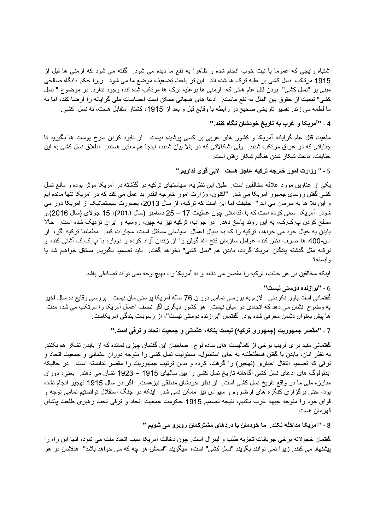اشتباه رایجی که عموما با نیت خوب انجام شده و ظاهرا به نفع ما دیده می شود. گفته می شود که ارمنی ها قبل از 1915 مرتکب نسل کشی بر علیه ترک ها شده اند<sub>.</sub> این تز باعث تضعیف موضع ما می شود<sub>.</sub> زیرا حکم دادگاه صالحی مبنی بر "نسل کشی" بودن قتل عام هائی که ارمنی ها برعلیه ترک ها مرتکب شده اند، وجود ندارد. در موضوع " نسل كشي" تبعيت از حقوق بين الملل به نفع ماست. ادعا هاي هيجاني ممكن است احساسات ملي گرايانه را ارضا كند، اما به ما لطمه می زند. تفسیر تاریخی صحیح در رابطه با وقایع قبل و بعد از 1915، کشتار متقابل هست، نه نسل کشی.

### 4 - "آمريكا و غرب به تاريخ خودشان نگاه كنند."

ماهیت قتل عام گرایانه أمریکا و کشور های غربی بر کسی پوشیده نیست. از نابود کردن سرخ پوست ها بگیرید تا جنایاتی که در عراق مرتکب شدند. ولی اشکالاتی که در بالا بیان شدند، اینجا هم معتبر هستند. اطلاق نسل کشی به این جنایات، باعث شکار شدن هنگام شکار رفتن است.

### 5 - " وزارت امور خارجه تركيه عاجز هست. لابي قوى نداريم."

یکی از عناوین مورد علاقه مخالفین است. طبق این نظریه، سیاستهای ترکیه در گذشته در آمریکا موثر بوده و مانع نسل کشی گفتن روسای جمهور أمریکا می شد. "اکنون، وزارت امور خارجه أنقدر بد عمل می کند که در أمریکا تنها مانده ایم و این بلا ها به سرمان می أید " حقیقت اما این است که ترکیه، از سال 2013، بصورت سیستماتیک از أمریکا دور می شود. آمريكا سعى كرده است كه با اقداماتي چون عمليات 17 – 25 دسامبر (سال 2013)، 15 جولاي (سال 2016).و مسلح کردن پ ک ک، به این روند پاسخ دهد ِ در جواب، ترکیه نیز به چین، روسیه و ایران نزدیک شده است ِ حالا بایدن به خیال خود می خواهد، ترکیه را که به دنبال اعمال سیاستی مستقل است، مجازات کند. مطمئننا ترکیه اگر ، از اس-400 ها صرف نظر کند، عوامل سازمان فتح الله گولن را از زندان آزاد کرده و دوباره با پ ِک ِک أُشتـی کند، و ترکیه مثل گذشته پادگان أمریکا گردد، بایدن هم "نسل کشی" نخواهد گفت. باید تصمیم بگیریم. مستقل خواهیم شد یا و ابسته؟

اینکه مخالفین در هر حالت، ترکیه را مقصر می دانند و نه أمریکا را، بهیچ وجه نمی تواند تصادفی باشد.

#### 6 - "برازنده دوستی نیست"

گفتمانی است باور نکردنی. لازم به بررسی تمامی دوران 76 ساله آمریکا پرستی مان نیست. بررسی وقایع ده سال اخیر به وضوح نشان می دهد که اتحادی در میان نیست. هر کشور دیگری اگر نصف اعمال آمریکا را مرتکب می شد، مدت ها پیش بعنوان دشمن معرفی شده بود گفتمان "برازنده دوستی نیست"، از رسوبات بندگی أمریکاست.

## 7 - "مقصر جمهوريت (جمهورى تركيه) نيست بلكه، عثمانى و جمعيت اتحاد و ترقى است."

گفتمانی مفید بر ای فریب برخی از کمالیست های ساده لوح ـ صاحبان این گفتمان چیزی نمانده که از بایدن تشکر هم بکنند به نظر أنان، بایدن با گفتن قسطنطنیه به جای استانبول، مسئولیت نسل کشبی را متوجه دوران عثمانی و جمعیت اتحاد و ترقی که تصمیم انتقال اجباری (تهجیر) را گرفت، کرده و بدین ترتیب جمهوریت را مقصر ندانسته است. در حالیکه ایدئولوگ های ادعای نسل کشی آگاهانه تاریخ نسل کشی را بین سالهای 1915 – 1923 نشان می دهند. یعنی، دوران مبارزه ملي ما در واقع تاريخ نسل كشي است. از نظر خودشان منطقي نيز هست. اگر در سال 1915 تهجير انجام نشده بود، حتی برگزاری کنگره های ارضروم و سیواس نیز ممکن نمی شد . اینکه در جنگ استقلال توانستیم تمامی توجه و قوای خود را متوجه جبهه غرب بکنیم، نتیجه تصمیم 1915 حکومت جمعیت اتحاد و ترقی تحت رهبری طلعت پاشای قهر مان هست.

#### 8 - "آمريكا مداخله نكند . ما خودمان با دردهای مشتركمان روبرو می شويم "

گفتمان خجولانه برخی جریانات تجزیه طلب و لیبرال است. چون دخالت آمریکا سبب اتحاد ملت می شود، آنها این راه را پیشنهاد می کنند. زیرا نمی توانند بگویند "نسل کشی" است، میگویند "اسمش هر چه که می خواهد باشد". هدفشان در هر